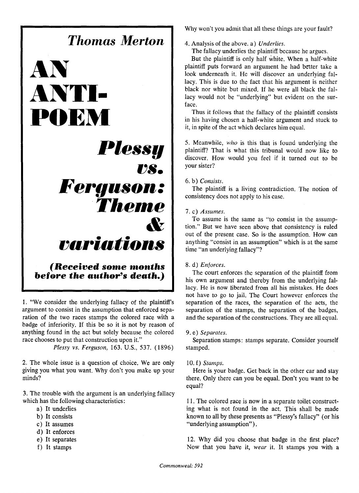# *Thomas Merton* **AN ANTI-POEM**  *Plessy 1)8. Ferguson: Theme & voriotions (Received some months before the author's death.)*

1. "We consider the underlying fallacy of the plaintiff's argument to consist in the assumption that enforced separation of the two races stamps the colored race with a badge of inferiority. If this be so it is not by reason of anything found in the act but solely because the colored race chooses to put that construction upon it."

*Plessy vs. Ferguson,* 163. U.S., 537. (1896)

2. The whole issue is a question of choice. We are only giving you what you want. Why don't you make up your minds?

3. The trouble with the argument is an underlying fallacy which has the following characteristics:

- a) It underlies
- b) It consists
- c) It assumes
- d) It enforces
- e) It Separates
- f) It stamps

Why won't you admit that all these things are your fault?

4. Analysis of the above, a) *Underlies.* 

The fallacy underlies the plaintiff because he argues.

But the plaintiff is only half white. When a half-white plaintiff puts forward an argument he had better take a look underneath it. He will discover an underlying fallacy. This is due to the fact that his argument is neither black nor white but mixed. If he were all black the fallacy would not be "underlying" but evident on the surface.

Thus it follows that the fallacy of the plaintiff consists in his having chosen a half-white argument and stuck to it, in spite of the act which declares him equal.

5. Meanwhile, *who* is this that is found underlying the plaintiff? That is what this tribunal would now like to discover. How would you feel if it turned out to be your sister?

#### *6. b) Consists.*

The plaintiff is a living contradiction. The notion of consistency does not apply to his case.

#### 7. c) *Assumes.*

To assume is the same as "to consist in the assumption." But we have seen above that consistency is ruled out of the present case. So is the assumption. How can anything "consist in an assumption" which is at the same time "an underlying fallacy"?

#### 8. d) *Enforces*.

The court enforces the separation of the plaintiff from his own argument and thereby from the underlying fallacy. He is now liberated from all his mistakes. He does not have to go to jail. The Court however enforces the separation of the races, the separation of the acts, the separation of the stamps, the separation of the badges, and the separation of the constructions. They are all equal.

#### *9. e) Separates.*

Separation stamps: stamps separate. Consider yourself stamped.

#### *10. f) Stamps.*

Here is your badge. Get back in the other car and stay there. Only there can you be equal. Don't you want to be equal?

1 1. The colored race is now in a separate toilet constructing what is not found in the act. This shall be made known to all by these presents as "Plessy's fallacy" (or his "underlying assumption").

12. Why did you choose that badge in the first place? Now that you have it, *wear* it. It stamps you with a